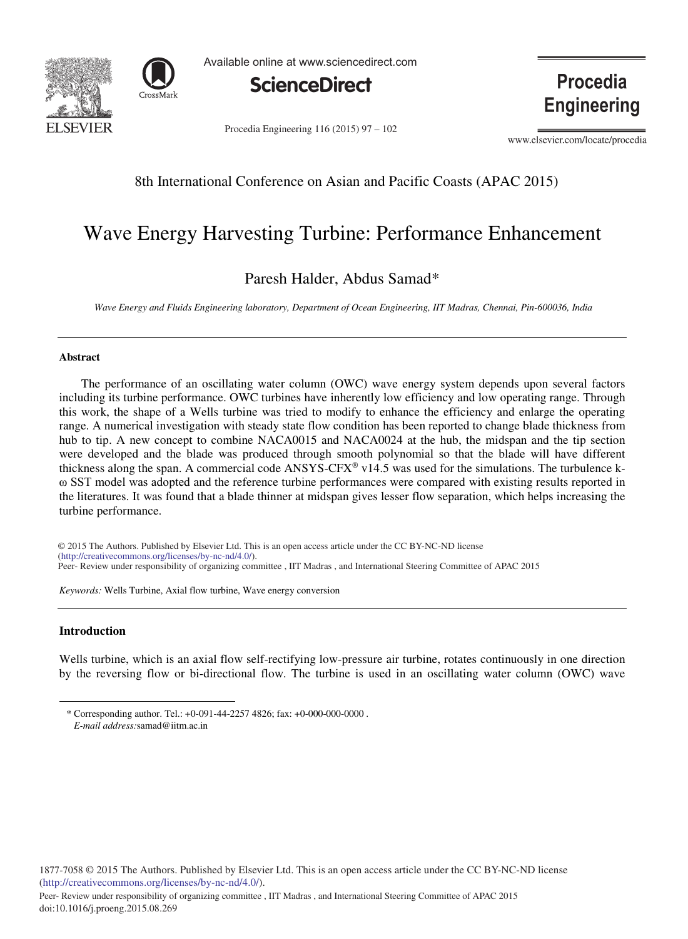



Available online at www.sciencedirect.com



Procedia Engineering  $116 (2015) 97 - 102$ 

**Procedia Engineering** 

www.elsevier.com/locate/procedia

# 8th International Conference on Asian and Pacific Coasts (APAC 2015)

# Wave Energy Harvesting Turbine: Performance Enhancement

# Paresh Halder, Abdus Samad\*

*Wave Energy and Fluids Engineering laboratory, Department of Ocean Engineering, IIT Madras, Chennai, Pin-600036, India*

### **Abstract**

The performance of an oscillating water column (OWC) wave energy system depends upon several factors including its turbine performance. OWC turbines have inherently low efficiency and low operating range. Through this work, the shape of a Wells turbine was tried to modify to enhance the efficiency and enlarge the operating range. A numerical investigation with steady state flow condition has been reported to change blade thickness from hub to tip. A new concept to combine NACA0015 and NACA0024 at the hub, the midspan and the tip section were developed and the blade was produced through smooth polynomial so that the blade will have different thickness along the span. A commercial code  $ANSYS-CFX^* \text{v14.5}$  was used for the simulations. The turbulence kω SST model was adopted and the reference turbine performances were compared with existing results reported in the literatures. It was found that a blade thinner at midspan gives lesser flow separation, which helps increasing the turbine performance.

© 2014 The Authors. Published by Elsevier B.V. (http://creativecommons.org/licenses/by-nc-nd/4.0/). Peer-Review under responsibility of organizing committee , IIT Madras , and International Steering Committee of APAC 2015 © 2015 The Authors. Published by Elsevier Ltd. This is an open access article under the CC BY-NC-ND license

*Keywords:* Wells Turbine, Axial flow turbine, Wave energy conversion

# **Introduction**

Wells turbine, which is an axial flow self-rectifying low-pressure air turbine, rotates continuously in one direction by the reversing flow or bi-directional flow. The turbine is used in an oscillating water column (OWC) wave

<sup>\*</sup> Corresponding author. Tel.: +0-091-44-2257 4826; fax: +0-000-000-0000 . *E-mail address:*samad@iitm.ac.in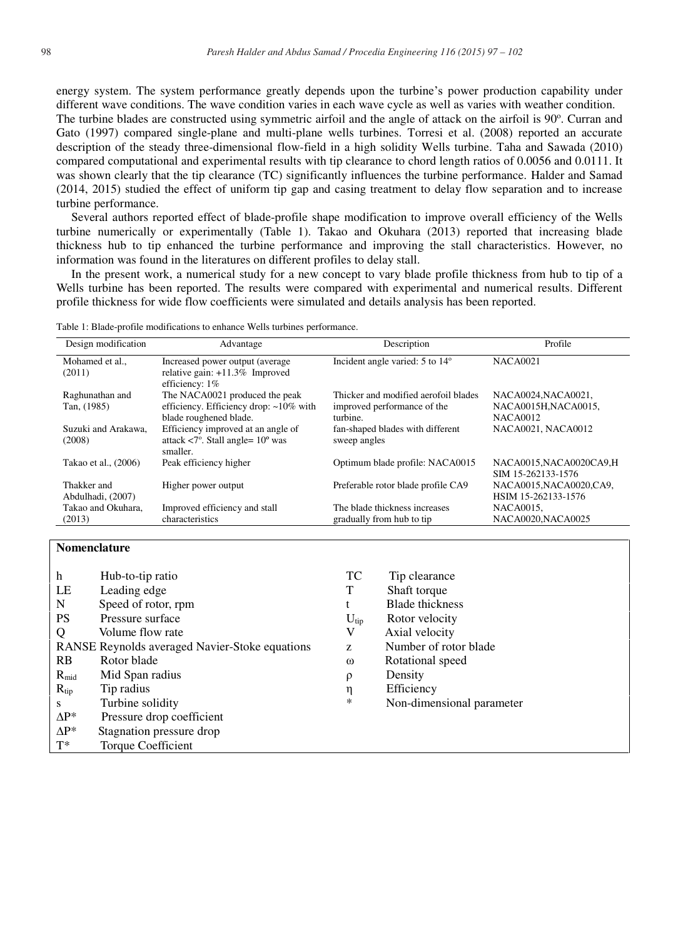energy system. The system performance greatly depends upon the turbine's power production capability under different wave conditions. The wave condition varies in each wave cycle as well as varies with weather condition. The turbine blades are constructed using symmetric airfoil and the angle of attack on the airfoil is 90°. Curran and Gato (1997) compared single-plane and multi-plane wells turbines. Torresi et al. (2008) reported an accurate description of the steady three-dimensional flow-field in a high solidity Wells turbine. Taha and Sawada (2010) compared computational and experimental results with tip clearance to chord length ratios of 0.0056 and 0.0111. It was shown clearly that the tip clearance (TC) significantly influences the turbine performance. Halder and Samad (2014, 2015) studied the effect of uniform tip gap and casing treatment to delay flow separation and to increase turbine performance.

Several authors reported effect of blade-profile shape modification to improve overall efficiency of the Wells turbine numerically or experimentally (Table 1). Takao and Okuhara (2013) reported that increasing blade thickness hub to tip enhanced the turbine performance and improving the stall characteristics. However, no information was found in the literatures on different profiles to delay stall.

In the present work, a numerical study for a new concept to vary blade profile thickness from hub to tip of a Wells turbine has been reported. The results were compared with experimental and numerical results. Different profile thickness for wide flow coefficients were simulated and details analysis has been reported.

Table 1: Blade-profile modifications to enhance Wells turbines performance.

| Design modification              | Advantage                                                                                                | Description                                                                     | Profile                                                       |
|----------------------------------|----------------------------------------------------------------------------------------------------------|---------------------------------------------------------------------------------|---------------------------------------------------------------|
| Mohamed et al<br>(2011)          | Increased power output (average)<br>relative gain: $+11.3\%$ Improved<br>efficiency: $1\%$               | Incident angle varied: $5$ to $14^{\circ}$                                      | <b>NACA0021</b>                                               |
| Raghunathan and<br>Tan, (1985)   | The NACA0021 produced the peak<br>efficiency. Efficiency drop: ~10% with<br>blade roughened blade.       | Thicker and modified aerofoil blades<br>improved performance of the<br>turbine. | NACA0024.NACA0021.<br>NACA0015H, NACA0015,<br><b>NACA0012</b> |
| Suzuki and Arakawa.<br>(2008)    | Efficiency improved at an angle of<br>attack $\langle 7^\circ$ . Stall angle= $10^\circ$ was<br>smaller. | fan-shaped blades with different<br>sweep angles                                | NACA0021, NACA0012                                            |
| Takao et al., (2006)             | Peak efficiency higher                                                                                   | Optimum blade profile: NACA0015                                                 | NACA0015, NACA0020CA9, H<br>SIM 15-262133-1576                |
| Thakker and<br>Abdulhadi, (2007) | Higher power output                                                                                      | Preferable rotor blade profile CA9                                              | NACA0015, NACA0020, CA9,<br>HSIM 15-262133-1576               |
| Takao and Okuhara,<br>(2013)     | Improved efficiency and stall<br>characteristics                                                         | The blade thickness increases<br>gradually from hub to tip                      | NACA0015,<br>NACA0020, NACA0025                               |

## **Nomenclature**

| h           | Hub-to-tip ratio                               | TC               | Tip clearance             |
|-------------|------------------------------------------------|------------------|---------------------------|
| LE          | Leading edge                                   | Т                | Shaft torque              |
| N           | Speed of rotor, rpm                            |                  | <b>Blade</b> thickness    |
| <b>PS</b>   | Pressure surface                               | $U_{\text{tip}}$ | Rotor velocity            |
| $\mathbf Q$ | Volume flow rate                               | V                | Axial velocity            |
|             | RANSE Reynolds averaged Navier-Stoke equations | Z                | Number of rotor blade     |
| <b>RB</b>   | Rotor blade                                    | $\omega$         | Rotational speed          |
| $R_{mid}$   | Mid Span radius                                | ρ                | Density                   |
| $R_{tip}$   | Tip radius                                     | η                | Efficiency                |
| -S          | Turbine solidity                               | $\ast$           | Non-dimensional parameter |
| $AP^*$      | Pressure drop coefficient                      |                  |                           |
| $AP^*$      | Stagnation pressure drop                       |                  |                           |
| $T^*$       | <b>Torque Coefficient</b>                      |                  |                           |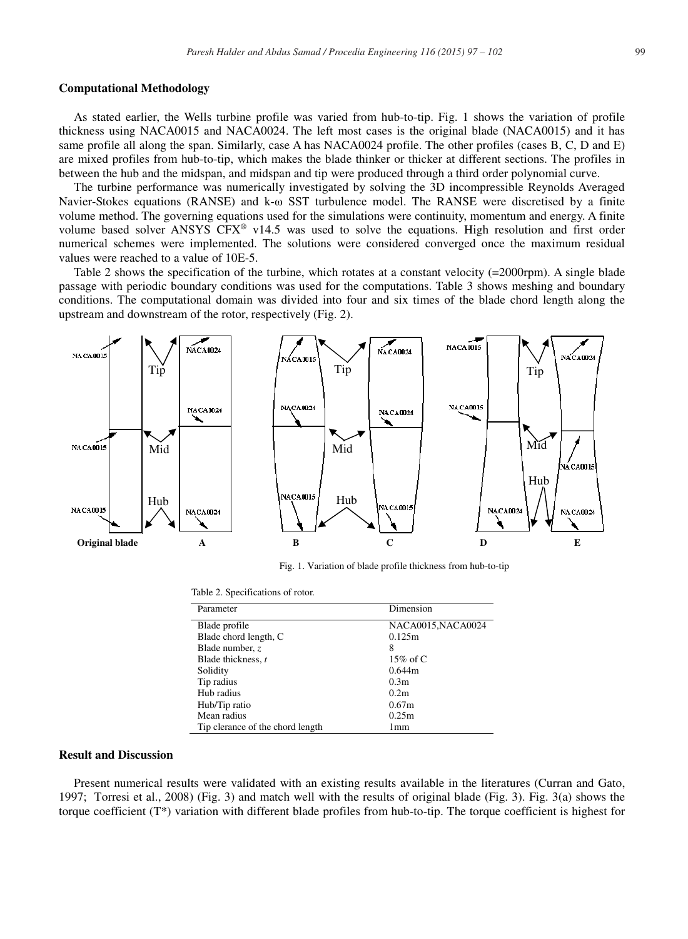### **Computational Methodology**

As stated earlier, the Wells turbine profile was varied from hub-to-tip. Fig. 1 shows the variation of profile thickness using NACA0015 and NACA0024. The left most cases is the original blade (NACA0015) and it has same profile all along the span. Similarly, case A has NACA0024 profile. The other profiles (cases B, C, D and E) are mixed profiles from hub-to-tip, which makes the blade thinker or thicker at different sections. The profiles in between the hub and the midspan, and midspan and tip were produced through a third order polynomial curve.

The turbine performance was numerically investigated by solving the 3D incompressible Reynolds Averaged Navier-Stokes equations (RANSE) and k-ω SST turbulence model. The RANSE were discretised by a finite volume method. The governing equations used for the simulations were continuity, momentum and energy. A finite volume based solver ANSYS CFX® v14.5 was used to solve the equations. High resolution and first order numerical schemes were implemented. The solutions were considered converged once the maximum residual values were reached to a value of 10E-5.

Table 2 shows the specification of the turbine, which rotates at a constant velocity (=2000rpm). A single blade passage with periodic boundary conditions was used for the computations. Table 3 shows meshing and boundary conditions. The computational domain was divided into four and six times of the blade chord length along the upstream and downstream of the rotor, respectively (Fig. 2).



Fig. 1. Variation of blade profile thickness from hub-to-tip

|  | Table 2. Specifications of rotor. |  |
|--|-----------------------------------|--|
|--|-----------------------------------|--|

| Parameter                        | Dimension          |
|----------------------------------|--------------------|
| Blade profile                    | NACA0015, NACA0024 |
| Blade chord length, C            | 0.125m             |
| Blade number, $z$                | 8                  |
| Blade thickness, t               | 15\% of C          |
| Solidity                         | 0.644m             |
| Tip radius                       | 0.3 <sub>m</sub>   |
| Hub radius                       | 0.2 <sub>m</sub>   |
| Hub/Tip ratio                    | 0.67m              |
| Mean radius                      | 0.25m              |
| Tip clerance of the chord length | 1mm                |

### **Result and Discussion**

Present numerical results were validated with an existing results available in the literatures (Curran and Gato, 1997; Torresi et al., 2008) (Fig. 3) and match well with the results of original blade (Fig. 3). Fig. 3(a) shows the torque coefficient  $(T^*)$  variation with different blade profiles from hub-to-tip. The torque coefficient is highest for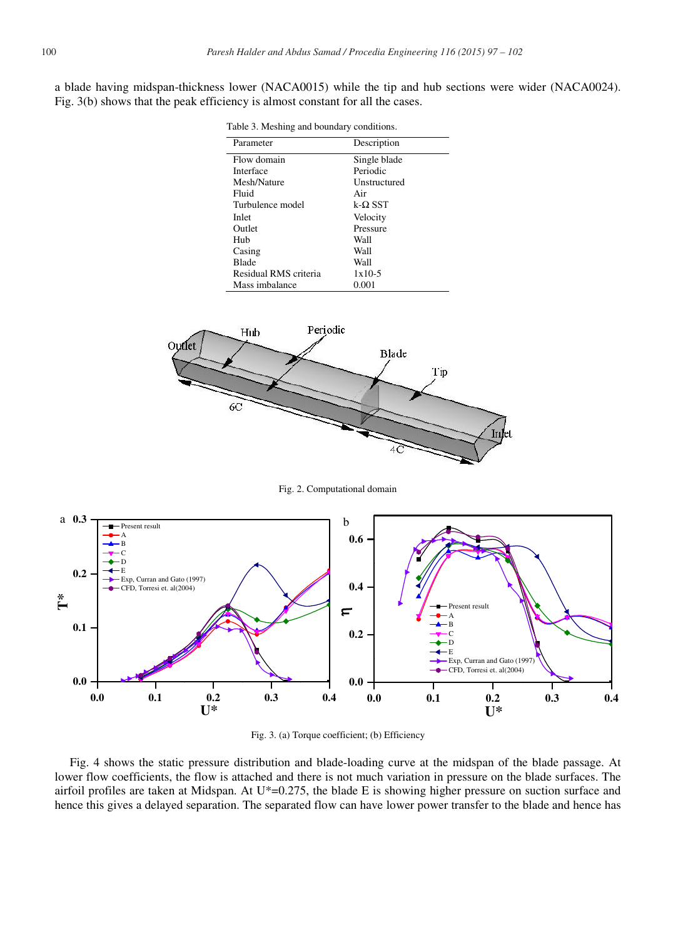a blade having midspan-thickness lower (NACA0015) while the tip and hub sections were wider (NACA0024). Fig. 3(b) shows that the peak efficiency is almost constant for all the cases.

| Parameter             | Description    |  |
|-----------------------|----------------|--|
| Flow domain           | Single blade   |  |
| Interface             | Periodic       |  |
| Mesh/Nature           | Unstructured   |  |
| Fluid                 | Air            |  |
| Turbulence model      | $k-\Omega$ SST |  |
| Inlet                 | Velocity       |  |
| Outlet                | Pressure       |  |
| Hub                   | Wall           |  |
| Casing                | Wall           |  |
| <b>Blade</b>          | Wall           |  |
| Residual RMS criteria | $1x10-5$       |  |
| Mass imbalance        | 0.001          |  |



Fig. 2. Computational domain





Fig. 4 shows the static pressure distribution and blade-loading curve at the midspan of the blade passage. At lower flow coefficients, the flow is attached and there is not much variation in pressure on the blade surfaces. The airfoil profiles are taken at Midspan. At U\*=0.275, the blade E is showing higher pressure on suction surface and hence this gives a delayed separation. The separated flow can have lower power transfer to the blade and hence has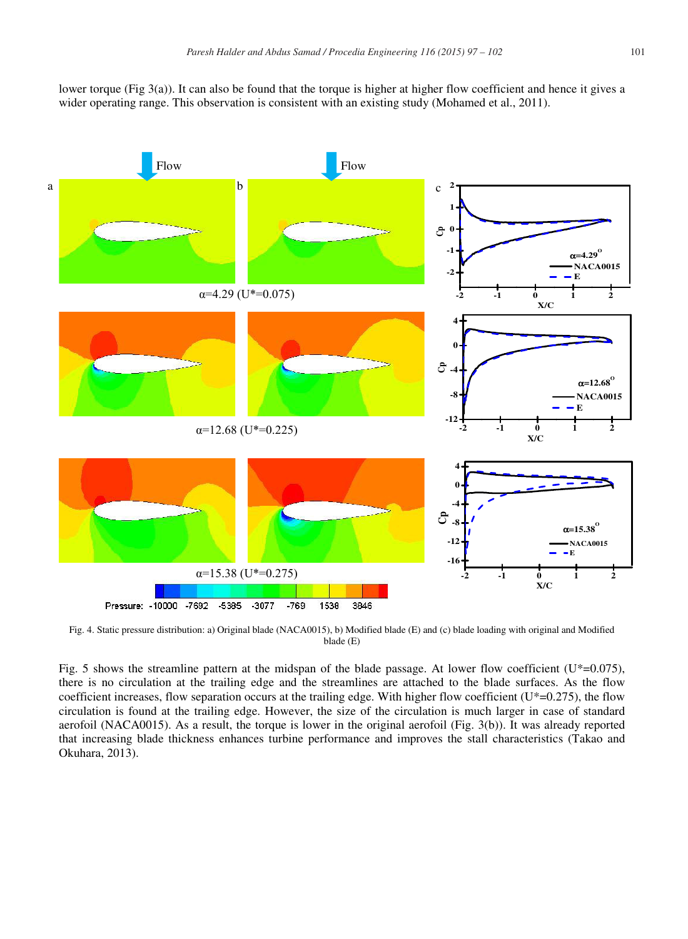

Fig. 4. Static pressure distribution: a) Original blade (NACA0015), b) Modified blade (E) and (c) blade loading with original and Modified blade (E)

Fig. 5 shows the streamline pattern at the midspan of the blade passage. At lower flow coefficient ( $U^*=0.075$ ), there is no circulation at the trailing edge and the streamlines are attached to the blade surfaces. As the flow coefficient increases, flow separation occurs at the trailing edge. With higher flow coefficient ( $U^*=0.275$ ), the flow circulation is found at the trailing edge. However, the size of the circulation is much larger in case of standard aerofoil (NACA0015). As a result, the torque is lower in the original aerofoil (Fig. 3(b)). It was already reported that increasing blade thickness enhances turbine performance and improves the stall characteristics (Takao and Okuhara, 2013).